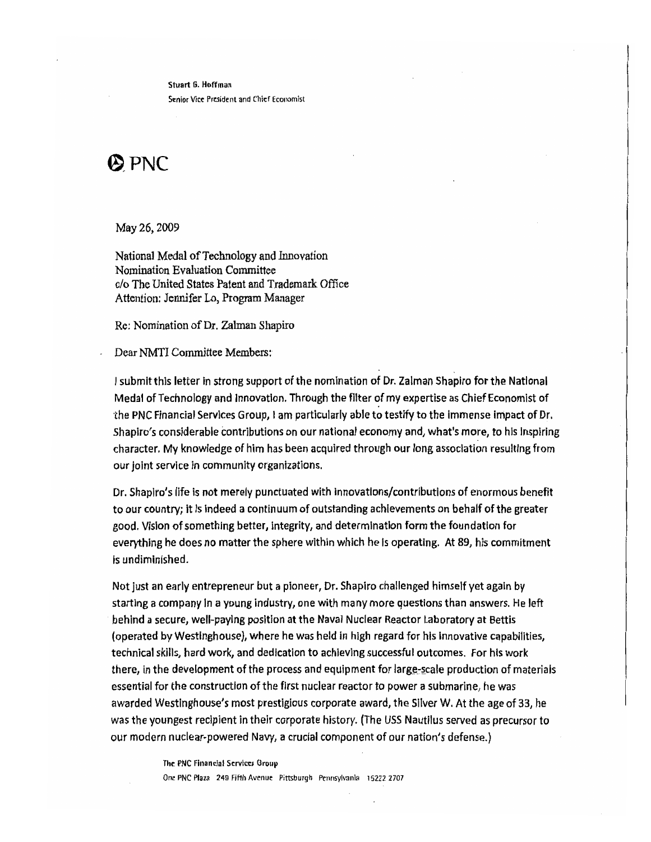Stuart 6. Hoffman Senior Vice President and Chief Economist

## $\bigcirc$  PNC

May 26, 2009

National Medal of Technology and Innovation Nomination Evaluation Committee c/o The United States Patent and Trademark Office Attention: Jennifer Lo, Program Manager

Re: Nomination of Dr. Zalman Shapiro

Dear NMTI Committee Members:

I submit this letter in strong support of the nomination of Dr. Zalman Shapiro for *the* National Medal of Technology and Innovation. Through the filter of my expertise as Chief Economist of 'the PNC Financial Servlces Group, Iam particularly able to testify to the Immense impact of Dr. Shapiro's considerable contributions on our national economy and, what's more, to his Inspiring character. My knowledge of him has been acquired through our long association resulting from our joint service in community organizatlons.

Dr. Shapiro's life is not merely punctuated with innovations/contributions of enormous benefit to our country; it Is Indeed a continuum of outstanding achievements on behalf of the greater good. Vision of something better, integrity, and determination form the foundation for everything he does no matter the sphere within which he Is operating. At 89, his commitment is undiminished.

Not just an early entrepreneur but a pioneer, Dr. Shapiro challenged himself yet again by starting a company In a young industry, one with many more questions than answers. He left behind a secure, well-paying position at the Naval Nuclear Reactor Laboratory at Bettis (operated by Westinghouse), where he was held in high regard for his innovative capabilities, technical skills, hard work, and dedication to achieving successful outcomes. For his work there, in the development of the process and equipment for large-scale production of materials essential for the construction of the first nuclear reactor to power a submarine, he was awarded Westinghouse's most prestigious corporate award, the Sliver W. At the age of 33, he was the youngest recipient in their corporate history. (The USS Nautilus served as precursor to our modern nuclear·powered Navy, acrucial component of our nation's defense.)

> The PNC Financial Services Group One PNC Plaza 249 Fifth Avenue Pittsburgh Pennsylvania 15222 2707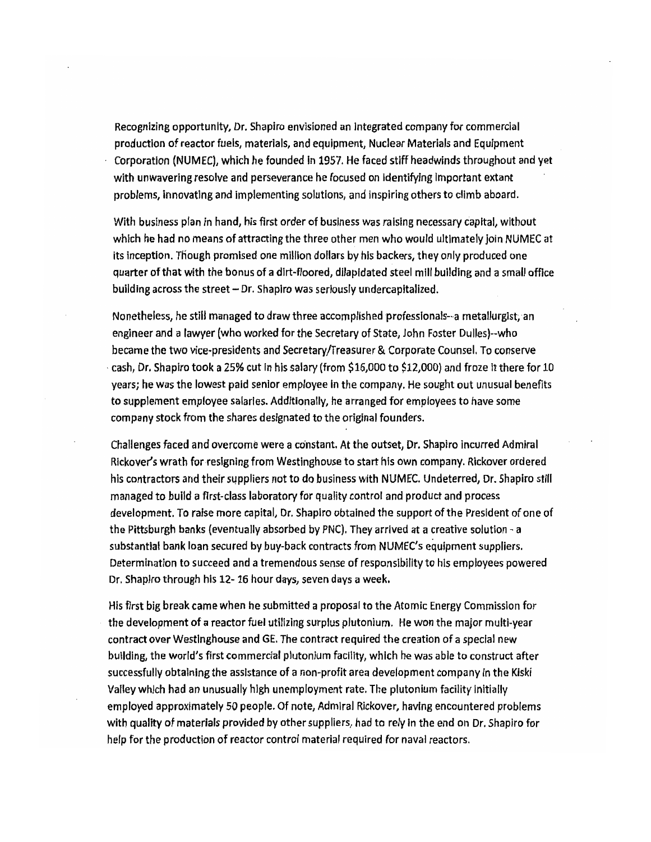Recognizing opportunity, Dr. Shapiro envisioned an Integrated company for commercial production of reactor fuels, materials, and equipment, Nuclear Materials and Equipment Corporation (NUMEC), which he founded In 1957. He faced stiff headwinds throughout and yet with unwavering resolve and perseverance he focused on identifying important extant problems, innovating and implementing solutions, and inspiring others to climb aboard.

With business plan in hand, his first order of business was raising necessary capital, without which he had no means of attracting the three other men who would ultimately join NUMEC at its inception. Though promised one million dollars by his backers, they only produced one quarter of that with the bonus of a dirt-floored, dilapidated steel mill building and a small office building across the street - Dr. Shapiro was seriously undercapitalized.

Nonetheless, he still managed to draw three accomplished professionals--a metallurgist, an engineer and a lawyer (who worked for the Secretary of State, John Foster Dulles)--who became the two vice·presidents and Secretary/Treasurer & Corporate Counsel. To conserve cash, Dr. Shapiro took a 25% cut in his salary (from \$16,000 to \$12,000) and froze it there for 10 years; he was the lowest paid senior employee In the company. He sought out unusual benefits to supplement employee salaries. Additionally, he arranged for employees to have some company stock from the shares designated to the original founders.

Challenges faced and overcome were a constant. At the outset, Dr. Shapiro incurred Admiral Rickover's wrath for resigning from Westinghouse to start his own company. Rickover ordered his contractors and their suppliers not to do business with NUMEC. Undeterred, Dr. Shapiro still managed to build a first-class laboratory for quality control and product and process development. To raise more capital, Dr. Shapiro obtained the support of the President of one of the Pittsburgh banks (eventually absorbed by PNC). They arrived at a creative solution  $-a$ substantial bank loan secured by buy-back contracts from NUMEC's equipment suppliers. Determination to succeed and a tremendous sense of responsibility to his employees powered Dr. Shapiro through his 12- 16 hour days, seven days a week.

His first big break came when he submitted a proposal to the Atomic Energy Commission for the development of a reactor fuel utilizing surplus plutonium. He won the major multi~year contract over Westinghouse and GE. The contract required the creation of a special new building, the world's first commercial plutonium facility, which he was able to construct after successfully obtaining the assistance of a non-profit area development company in the Kiski Valley which had an unusually high unemployment rate. The plutonium facility Initially employed approximately 50 people. Of note, Admiral Rickover, having encountered problems with quality of materials provided by other suppliers, *had* to rely In the end on Dr. Shapiro for help for the production of reactor control material required for naval reactors.